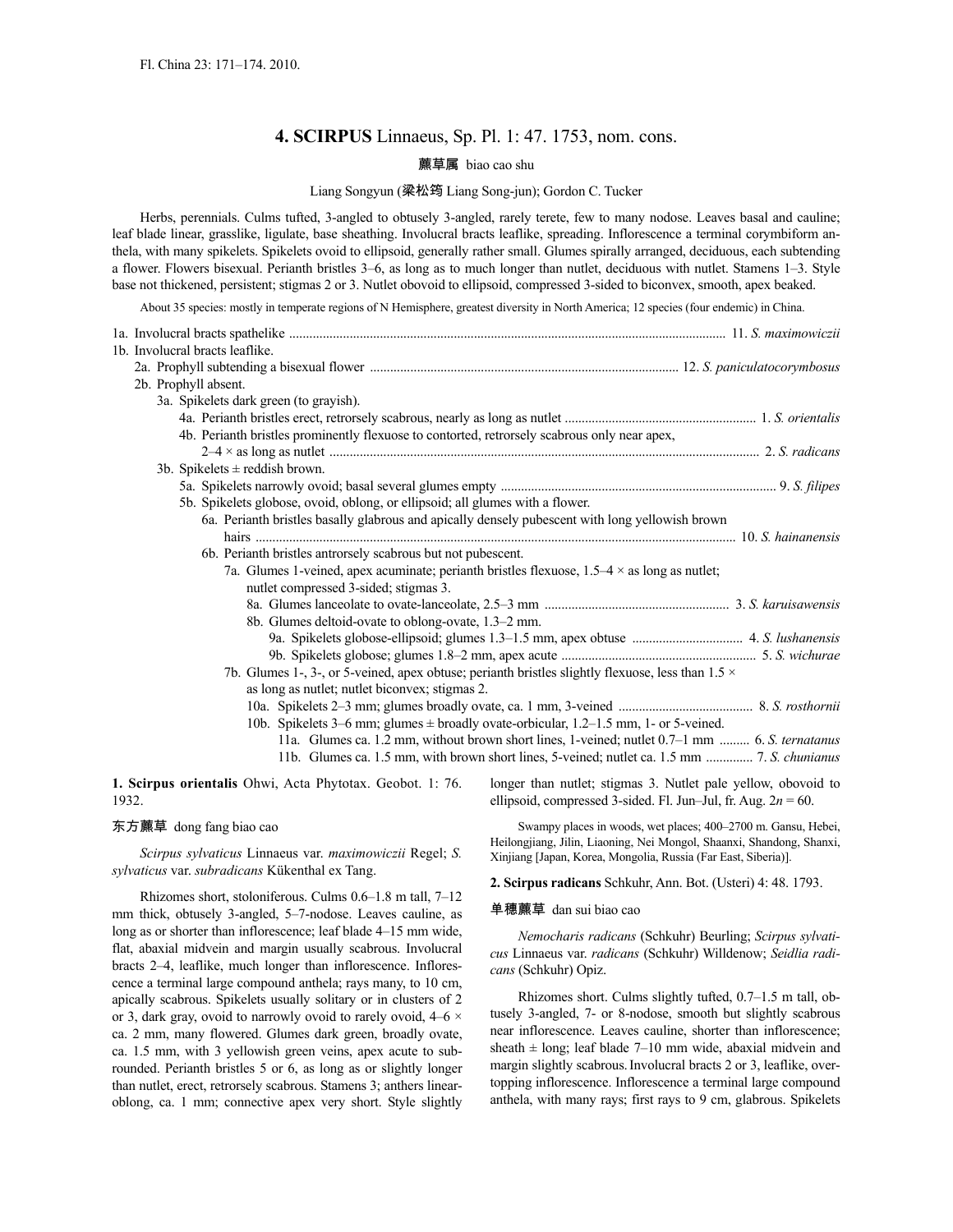# **4. SCIRPUS** Linnaeus, Sp. Pl. 1: 47. 1753, nom. cons.

# 藨草属 biao cao shu

# Liang Songyun (梁松筠 Liang Song-jun); Gordon C. Tucker

Herbs, perennials. Culms tufted, 3-angled to obtusely 3-angled, rarely terete, few to many nodose. Leaves basal and cauline; leaf blade linear, grasslike, ligulate, base sheathing. Involucral bracts leaflike, spreading. Inflorescence a terminal corymbiform anthela, with many spikelets. Spikelets ovoid to ellipsoid, generally rather small. Glumes spirally arranged, deciduous, each subtending a flower. Flowers bisexual. Perianth bristles 3–6, as long as to much longer than nutlet, deciduous with nutlet. Stamens 1–3. Style base not thickened, persistent; stigmas 2 or 3. Nutlet obovoid to ellipsoid, compressed 3-sided to biconvex, smooth, apex beaked.

About 35 species: mostly in temperate regions of N Hemisphere, greatest diversity in North America; 12 species (four endemic) in China.

| 1a. Involucral bracts spathelike <i>manual communication</i> and contract the contract of the maximowiczii                                                                                                                     |  |
|--------------------------------------------------------------------------------------------------------------------------------------------------------------------------------------------------------------------------------|--|
| 1b. Involucral bracts leaflike.                                                                                                                                                                                                |  |
| 2a. Prophyll subtending a bisexual flower manufactured and announcemmanum manufactured and a bisexual flower manufactured and a large subsequent of the state of the state of the state of the state of the state of the state |  |
| 2b. Prophyll absent.                                                                                                                                                                                                           |  |
| 3a. Spikelets dark green (to grayish).                                                                                                                                                                                         |  |
|                                                                                                                                                                                                                                |  |
| 4b. Perianth bristles prominently flexuose to contorted, retrorsely scabrous only near apex,                                                                                                                                   |  |
|                                                                                                                                                                                                                                |  |
| 3b. Spikelets $\pm$ reddish brown.                                                                                                                                                                                             |  |
|                                                                                                                                                                                                                                |  |
| 5b. Spikelets globose, ovoid, oblong, or ellipsoid; all glumes with a flower.                                                                                                                                                  |  |
| 6a. Perianth bristles basally glabrous and apically densely pubescent with long yellowish brown                                                                                                                                |  |
|                                                                                                                                                                                                                                |  |
| 6b. Perianth bristles antrorsely scabrous but not pubescent.                                                                                                                                                                   |  |
| 7a. Glumes 1-veined, apex acuminate; perianth bristles flexuose, $1.5-4 \times$ as long as nutlet;                                                                                                                             |  |
| nutlet compressed 3-sided; stigmas 3.                                                                                                                                                                                          |  |
|                                                                                                                                                                                                                                |  |
| 8b. Glumes deltoid-ovate to oblong-ovate, 1.3-2 mm.                                                                                                                                                                            |  |
|                                                                                                                                                                                                                                |  |
|                                                                                                                                                                                                                                |  |
| 7b. Glumes 1-, 3-, or 5-veined, apex obtuse; perianth bristles slightly flexuose, less than $1.5 \times$                                                                                                                       |  |
| as long as nutlet; nutlet biconvex; stigmas 2.                                                                                                                                                                                 |  |
|                                                                                                                                                                                                                                |  |
| 10b. Spikelets 3–6 mm; glumes $\pm$ broadly ovate-orbicular, 1.2–1.5 mm, 1- or 5-veined.                                                                                                                                       |  |
| 11a. Glumes ca. 1.2 mm, without brown short lines, 1-veined; nutlet 0.7–1 mm  6. S. ternatanus                                                                                                                                 |  |
|                                                                                                                                                                                                                                |  |
| 1 Seignus orientalis Obyvi Acta Phytotax Geobat 1:76 longer than putlet: stigmas 3 Nutlet pale vellow obovoid to                                                                                                               |  |

**1. Scirpus orientalis** Ohwi, Acta Phytotax. Geobot. 1: 76. 1932.

#### 东方藨草 dong fang biao cao

*Scirpus sylvaticus* Linnaeus var. *maximowiczii* Regel; *S. sylvaticus* var. *subradicans* Kükenthal ex Tang.

Rhizomes short, stoloniferous. Culms 0.6–1.8 m tall, 7–12 mm thick, obtusely 3-angled, 5–7-nodose. Leaves cauline, as long as or shorter than inflorescence; leaf blade 4–15 mm wide, flat, abaxial midvein and margin usually scabrous. Involucral bracts 2–4, leaflike, much longer than inflorescence. Inflorescence a terminal large compound anthela; rays many, to 10 cm, apically scabrous. Spikelets usually solitary or in clusters of 2 or 3, dark gray, ovoid to narrowly ovoid to rarely ovoid, 4–6 × ca. 2 mm, many flowered. Glumes dark green, broadly ovate, ca. 1.5 mm, with 3 yellowish green veins, apex acute to subrounded. Perianth bristles 5 or 6, as long as or slightly longer than nutlet, erect, retrorsely scabrous. Stamens 3; anthers linearoblong, ca. 1 mm; connective apex very short. Style slightly

longer than nutlet; stigmas 3. Nutlet pale yellow, obovoid to ellipsoid, compressed 3-sided. Fl. Jun–Jul, fr. Aug.  $2n = 60$ .

Swampy places in woods, wet places; 400–2700 m. Gansu, Hebei, Heilongjiang, Jilin, Liaoning, Nei Mongol, Shaanxi, Shandong, Shanxi, Xinjiang [Japan, Korea, Mongolia, Russia (Far East, Siberia)].

**2. Scirpus radicans** Schkuhr, Ann. Bot. (Usteri) 4: 48. 1793.

# 单穗藨草 dan sui biao cao

*Nemocharis radicans* (Schkuhr) Beurling; *Scirpus sylvaticus* Linnaeus var. *radicans* (Schkuhr) Willdenow; *Seidlia radicans* (Schkuhr) Opiz.

Rhizomes short. Culms slightly tufted, 0.7–1.5 m tall, obtusely 3-angled, 7- or 8-nodose, smooth but slightly scabrous near inflorescence. Leaves cauline, shorter than inflorescence; sheath  $\pm$  long; leaf blade 7–10 mm wide, abaxial midvein and margin slightly scabrous.Involucral bracts 2 or 3, leaflike, overtopping inflorescence. Inflorescence a terminal large compound anthela, with many rays; first rays to 9 cm, glabrous. Spikelets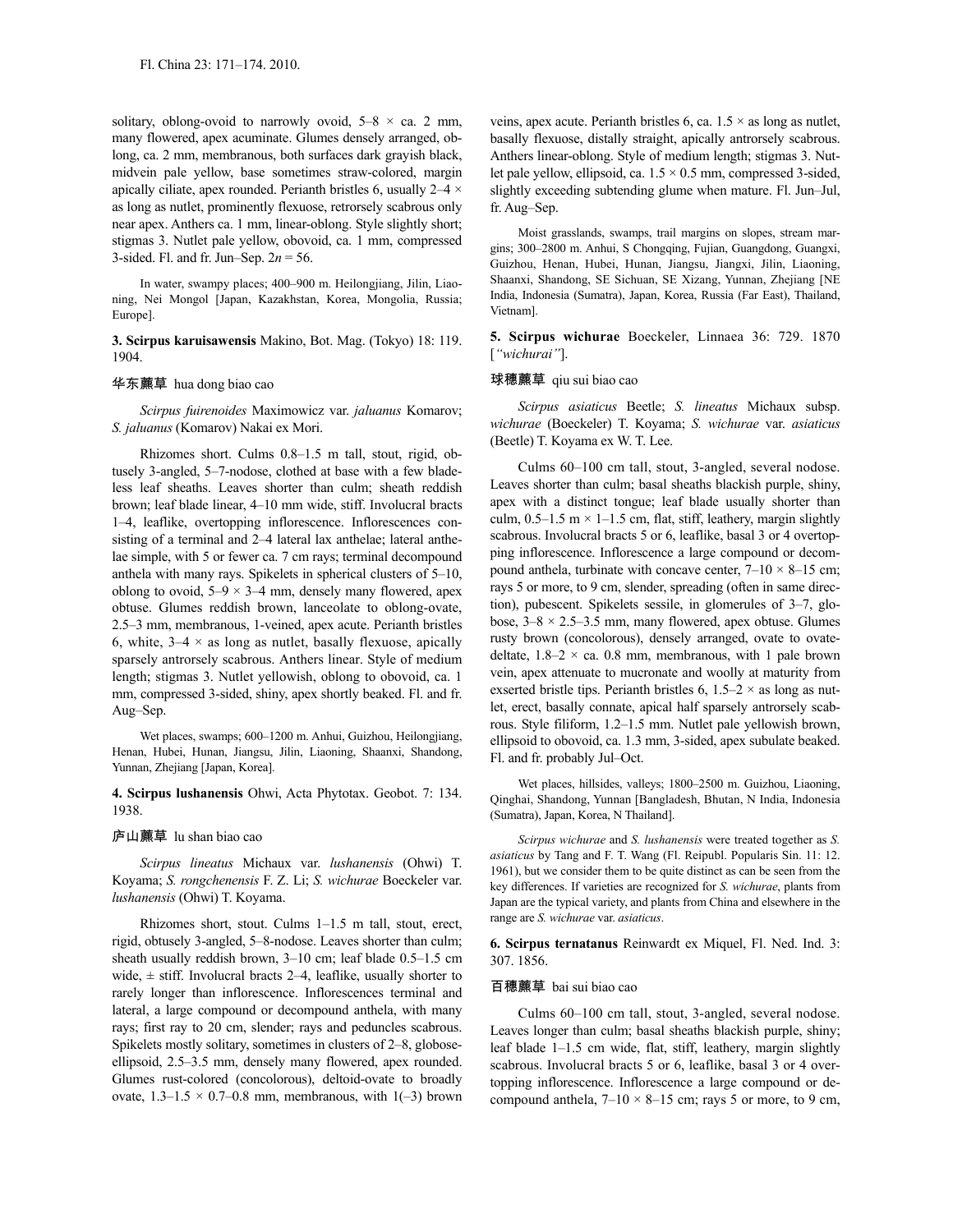solitary, oblong-ovoid to narrowly ovoid,  $5-8 \times ca$ . 2 mm, many flowered, apex acuminate. Glumes densely arranged, oblong, ca. 2 mm, membranous, both surfaces dark grayish black, midvein pale yellow, base sometimes straw-colored, margin apically ciliate, apex rounded. Perianth bristles 6, usually 2–4 × as long as nutlet, prominently flexuose, retrorsely scabrous only near apex. Anthers ca. 1 mm, linear-oblong. Style slightly short; stigmas 3. Nutlet pale yellow, obovoid, ca. 1 mm, compressed 3-sided. Fl. and fr. Jun–Sep. 2*n* = 56.

In water, swampy places; 400–900 m. Heilongjiang, Jilin, Liaoning, Nei Mongol [Japan, Kazakhstan, Korea, Mongolia, Russia; Europe].

**3. Scirpus karuisawensis** Makino, Bot. Mag. (Tokyo) 18: 119. 1904.

### 华东藨草 hua dong biao cao

*Scirpus fuirenoides* Maximowicz var. *jaluanus* Komarov; *S. jaluanus* (Komarov) Nakai ex Mori.

Rhizomes short. Culms 0.8–1.5 m tall, stout, rigid, obtusely 3-angled, 5–7-nodose, clothed at base with a few bladeless leaf sheaths. Leaves shorter than culm; sheath reddish brown; leaf blade linear, 4–10 mm wide, stiff. Involucral bracts 1–4, leaflike, overtopping inflorescence. Inflorescences consisting of a terminal and 2–4 lateral lax anthelae; lateral anthelae simple, with 5 or fewer ca. 7 cm rays; terminal decompound anthela with many rays. Spikelets in spherical clusters of 5–10, oblong to ovoid,  $5-9 \times 3-4$  mm, densely many flowered, apex obtuse. Glumes reddish brown, lanceolate to oblong-ovate, 2.5–3 mm, membranous, 1-veined, apex acute. Perianth bristles 6, white,  $3-4 \times$  as long as nutlet, basally flexuose, apically sparsely antrorsely scabrous. Anthers linear. Style of medium length; stigmas 3. Nutlet yellowish, oblong to obovoid, ca. 1 mm, compressed 3-sided, shiny, apex shortly beaked. Fl. and fr. Aug–Sep.

Wet places, swamps; 600–1200 m. Anhui, Guizhou, Heilongjiang, Henan, Hubei, Hunan, Jiangsu, Jilin, Liaoning, Shaanxi, Shandong, Yunnan, Zhejiang [Japan, Korea].

**4. Scirpus lushanensis** Ohwi, Acta Phytotax. Geobot. 7: 134. 1938.

# 庐山藨草 lu shan biao cao

*Scirpus lineatus* Michaux var. *lushanensis* (Ohwi) T. Koyama; *S. rongchenensis* F. Z. Li; *S. wichurae* Boeckeler var. *lushanensis* (Ohwi) T. Koyama.

Rhizomes short, stout. Culms 1–1.5 m tall, stout, erect, rigid, obtusely 3-angled, 5–8-nodose. Leaves shorter than culm; sheath usually reddish brown, 3–10 cm; leaf blade 0.5–1.5 cm wide,  $\pm$  stiff. Involucral bracts 2–4, leaflike, usually shorter to rarely longer than inflorescence. Inflorescences terminal and lateral, a large compound or decompound anthela, with many rays; first ray to 20 cm, slender; rays and peduncles scabrous. Spikelets mostly solitary, sometimes in clusters of 2–8, globoseellipsoid, 2.5–3.5 mm, densely many flowered, apex rounded. Glumes rust-colored (concolorous), deltoid-ovate to broadly ovate,  $1.3-1.5 \times 0.7-0.8$  mm, membranous, with  $1(-3)$  brown veins, apex acute. Perianth bristles 6, ca.  $1.5 \times$  as long as nutlet, basally flexuose, distally straight, apically antrorsely scabrous. Anthers linear-oblong. Style of medium length; stigmas 3. Nutlet pale yellow, ellipsoid, ca. 1.5 × 0.5 mm, compressed 3-sided, slightly exceeding subtending glume when mature. Fl. Jun–Jul, fr. Aug–Sep.

Moist grasslands, swamps, trail margins on slopes, stream margins; 300–2800 m. Anhui, S Chongqing, Fujian, Guangdong, Guangxi, Guizhou, Henan, Hubei, Hunan, Jiangsu, Jiangxi, Jilin, Liaoning, Shaanxi, Shandong, SE Sichuan, SE Xizang, Yunnan, Zhejiang [NE India, Indonesia (Sumatra), Japan, Korea, Russia (Far East), Thailand, Vietnam].

**5. Scirpus wichurae** Boeckeler, Linnaea 36: 729. 1870 [*"wichurai"*].

### 球穗藨草 qiu sui biao cao

*Scirpus asiaticus* Beetle; *S. lineatus* Michaux subsp. *wichurae* (Boeckeler) T. Koyama; *S. wichurae* var. *asiaticus* (Beetle) T. Koyama ex W. T. Lee.

Culms 60–100 cm tall, stout, 3-angled, several nodose. Leaves shorter than culm; basal sheaths blackish purple, shiny, apex with a distinct tongue; leaf blade usually shorter than culm,  $0.5-1.5$  m  $\times$  1-1.5 cm, flat, stiff, leathery, margin slightly scabrous. Involucral bracts 5 or 6, leaflike, basal 3 or 4 overtopping inflorescence. Inflorescence a large compound or decompound anthela, turbinate with concave center,  $7-10 \times 8-15$  cm; rays 5 or more, to 9 cm, slender, spreading (often in same direction), pubescent. Spikelets sessile, in glomerules of 3–7, globose,  $3-8 \times 2.5-3.5$  mm, many flowered, apex obtuse. Glumes rusty brown (concolorous), densely arranged, ovate to ovatedeltate,  $1.8-2 \times$  ca. 0.8 mm, membranous, with 1 pale brown vein, apex attenuate to mucronate and woolly at maturity from exserted bristle tips. Perianth bristles 6,  $1.5-2 \times$  as long as nutlet, erect, basally connate, apical half sparsely antrorsely scabrous. Style filiform, 1.2–1.5 mm. Nutlet pale yellowish brown, ellipsoid to obovoid, ca. 1.3 mm, 3-sided, apex subulate beaked. Fl. and fr. probably Jul–Oct.

Wet places, hillsides, valleys; 1800–2500 m. Guizhou, Liaoning, Qinghai, Shandong, Yunnan [Bangladesh, Bhutan, N India, Indonesia (Sumatra), Japan, Korea, N Thailand].

*Scirpus wichurae* and *S. lushanensis* were treated together as *S. asiaticus* by Tang and F. T. Wang (Fl. Reipubl. Popularis Sin. 11: 12. 1961), but we consider them to be quite distinct as can be seen from the key differences. If varieties are recognized for *S. wichurae*, plants from Japan are the typical variety, and plants from China and elsewhere in the range are *S. wichurae* var. *asiaticus*.

**6. Scirpus ternatanus** Reinwardt ex Miquel, Fl. Ned. Ind. 3: 307. 1856.

### 百穗藨草 bai sui biao cao

Culms 60–100 cm tall, stout, 3-angled, several nodose. Leaves longer than culm; basal sheaths blackish purple, shiny; leaf blade 1–1.5 cm wide, flat, stiff, leathery, margin slightly scabrous. Involucral bracts 5 or 6, leaflike, basal 3 or 4 overtopping inflorescence. Inflorescence a large compound or decompound anthela,  $7-10 \times 8-15$  cm; rays 5 or more, to 9 cm,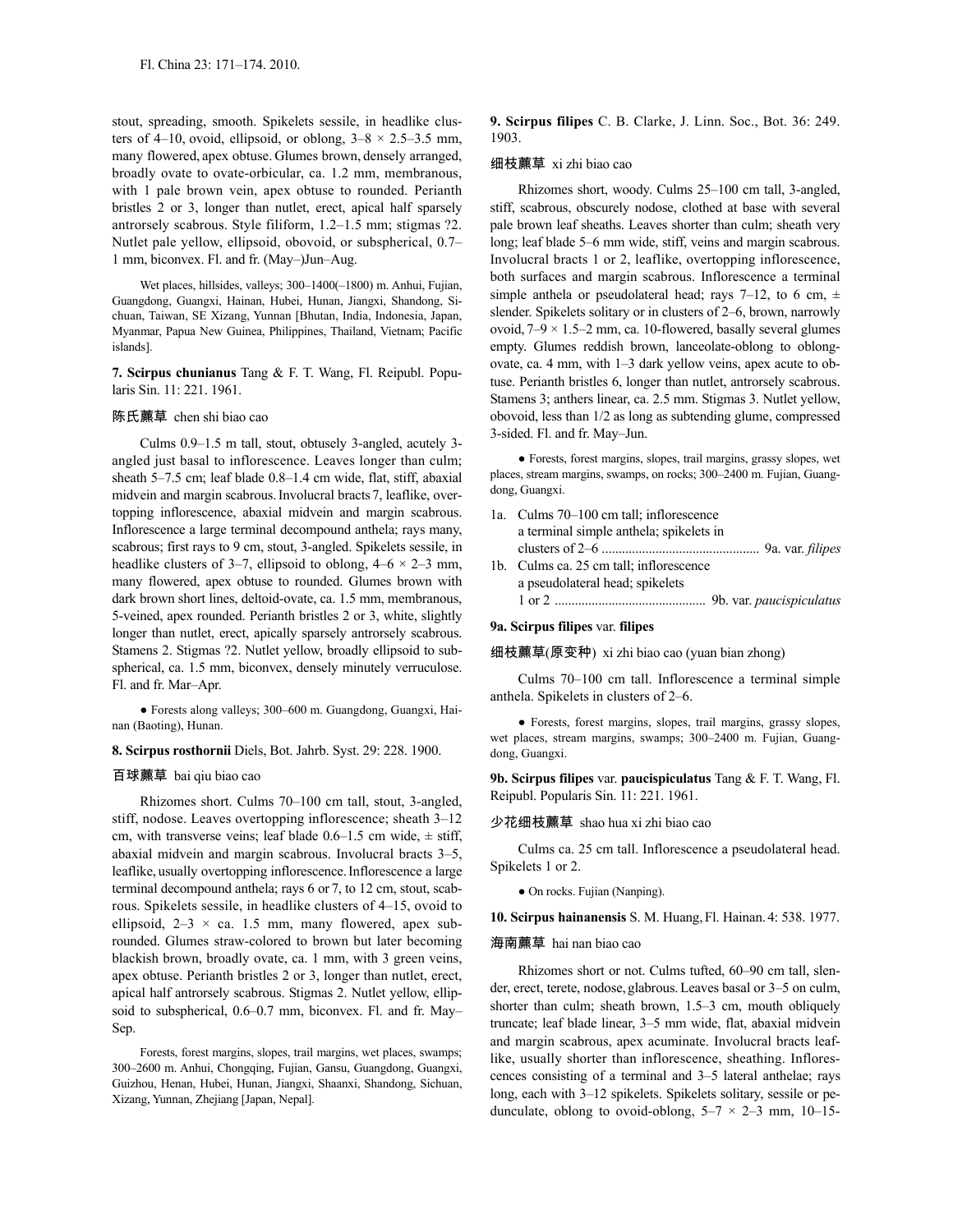stout, spreading, smooth. Spikelets sessile, in headlike clusters of 4–10, ovoid, ellipsoid, or oblong,  $3-8 \times 2.5-3.5$  mm, many flowered, apex obtuse. Glumes brown, densely arranged, broadly ovate to ovate-orbicular, ca. 1.2 mm, membranous, with 1 pale brown vein, apex obtuse to rounded. Perianth bristles 2 or 3, longer than nutlet, erect, apical half sparsely antrorsely scabrous. Style filiform, 1.2–1.5 mm; stigmas ?2. Nutlet pale yellow, ellipsoid, obovoid, or subspherical, 0.7– 1 mm, biconvex. Fl. and fr. (May–)Jun–Aug.

Wet places, hillsides, valleys; 300–1400(–1800) m. Anhui, Fujian, Guangdong, Guangxi, Hainan, Hubei, Hunan, Jiangxi, Shandong, Sichuan, Taiwan, SE Xizang, Yunnan [Bhutan, India, Indonesia, Japan, Myanmar, Papua New Guinea, Philippines, Thailand, Vietnam; Pacific islands].

**7. Scirpus chunianus** Tang & F. T. Wang, Fl. Reipubl. Popularis Sin. 11: 221. 1961.

# 陈氏藨草 chen shi biao cao

Culms 0.9–1.5 m tall, stout, obtusely 3-angled, acutely 3 angled just basal to inflorescence. Leaves longer than culm; sheath 5–7.5 cm; leaf blade 0.8–1.4 cm wide, flat, stiff, abaxial midvein and margin scabrous.Involucral bracts7, leaflike, overtopping inflorescence, abaxial midvein and margin scabrous. Inflorescence a large terminal decompound anthela; rays many, scabrous; first rays to 9 cm, stout, 3-angled. Spikelets sessile, in headlike clusters of 3–7, ellipsoid to oblong,  $4-6 \times 2-3$  mm, many flowered, apex obtuse to rounded. Glumes brown with dark brown short lines, deltoid-ovate, ca. 1.5 mm, membranous, 5-veined, apex rounded. Perianth bristles 2 or 3, white, slightly longer than nutlet, erect, apically sparsely antrorsely scabrous. Stamens 2. Stigmas ?2. Nutlet yellow, broadly ellipsoid to subspherical, ca. 1.5 mm, biconvex, densely minutely verruculose. Fl. and fr. Mar–Apr.

● Forests along valleys; 300–600 m. Guangdong, Guangxi, Hainan (Baoting), Hunan.

#### **8. Scirpus rosthornii** Diels, Bot. Jahrb. Syst. 29: 228. 1900.

### 百球藨草 bai qiu biao cao

Rhizomes short. Culms 70–100 cm tall, stout, 3-angled, stiff, nodose. Leaves overtopping inflorescence; sheath 3–12 cm, with transverse veins; leaf blade  $0.6-1.5$  cm wide,  $\pm$  stiff, abaxial midvein and margin scabrous. Involucral bracts 3–5, leaflike, usually overtopping inflorescence.Inflorescence a large terminal decompound anthela; rays 6 or 7, to 12 cm, stout, scabrous. Spikelets sessile, in headlike clusters of 4–15, ovoid to ellipsoid,  $2-3 \times ca$ . 1.5 mm, many flowered, apex subrounded. Glumes straw-colored to brown but later becoming blackish brown, broadly ovate, ca. 1 mm, with 3 green veins, apex obtuse. Perianth bristles 2 or 3, longer than nutlet, erect, apical half antrorsely scabrous. Stigmas 2. Nutlet yellow, ellipsoid to subspherical, 0.6–0.7 mm, biconvex. Fl. and fr. May– Sep.

Forests, forest margins, slopes, trail margins, wet places, swamps; 300–2600 m. Anhui, Chongqing, Fujian, Gansu, Guangdong, Guangxi, Guizhou, Henan, Hubei, Hunan, Jiangxi, Shaanxi, Shandong, Sichuan, Xizang, Yunnan, Zhejiang [Japan, Nepal].

**9. Scirpus filipes** C. B. Clarke, J. Linn. Soc., Bot. 36: 249. 1903.

### 细枝藨草 xi zhi biao cao

Rhizomes short, woody. Culms 25–100 cm tall, 3-angled, stiff, scabrous, obscurely nodose, clothed at base with several pale brown leaf sheaths. Leaves shorter than culm; sheath very long; leaf blade 5–6 mm wide, stiff, veins and margin scabrous. Involucral bracts 1 or 2, leaflike, overtopping inflorescence, both surfaces and margin scabrous. Inflorescence a terminal simple anthela or pseudolateral head; rays 7–12, to 6 cm,  $\pm$ slender. Spikelets solitary or in clusters of 2–6, brown, narrowly ovoid,  $7-9 \times 1.5-2$  mm, ca. 10-flowered, basally several glumes empty. Glumes reddish brown, lanceolate-oblong to oblongovate, ca. 4 mm, with 1–3 dark yellow veins, apex acute to obtuse. Perianth bristles 6, longer than nutlet, antrorsely scabrous. Stamens 3; anthers linear, ca. 2.5 mm. Stigmas 3. Nutlet yellow, obovoid, less than 1/2 as long as subtending glume, compressed 3-sided. Fl. and fr. May–Jun.

● Forests, forest margins, slopes, trail margins, grassy slopes, wet places, stream margins, swamps, on rocks; 300–2400 m. Fujian, Guangdong, Guangxi.

| 1a. Culms 70–100 cm tall; inflorescence |
|-----------------------------------------|
| a terminal simple anthela; spikelets in |
|                                         |
| 1b. Culms ca. 25 cm tall; inflorescence |
| a pseudolateral head; spikelets         |
|                                         |

#### **9a. Scirpus filipes** var. **filipes**

### 细枝藨草(原变种) xi zhi biao cao (yuan bian zhong)

Culms 70–100 cm tall. Inflorescence a terminal simple anthela. Spikelets in clusters of 2–6.

● Forests, forest margins, slopes, trail margins, grassy slopes, wet places, stream margins, swamps; 300–2400 m. Fujian, Guangdong, Guangxi.

**9b. Scirpus filipes** var. **paucispiculatus** Tang & F. T. Wang, Fl. Reipubl. Popularis Sin. 11: 221. 1961.

# 少花细枝藨草 shao hua xi zhi biao cao

Culms ca. 25 cm tall. Inflorescence a pseudolateral head. Spikelets 1 or 2.

● On rocks. Fujian (Nanping).

**10. Scirpus hainanensis** S. M. Huang,Fl. Hainan. 4: 538. 1977.

#### 海南藨草 hai nan biao cao

Rhizomes short or not. Culms tufted, 60–90 cm tall, slender, erect, terete, nodose, glabrous.Leaves basal or 3–5 on culm, shorter than culm; sheath brown, 1.5–3 cm, mouth obliquely truncate; leaf blade linear, 3–5 mm wide, flat, abaxial midvein and margin scabrous, apex acuminate. Involucral bracts leaflike, usually shorter than inflorescence, sheathing. Inflorescences consisting of a terminal and 3–5 lateral anthelae; rays long, each with  $3-12$  spikelets. Spikelets solitary, sessile or pedunculate, oblong to ovoid-oblong,  $5-7 \times 2-3$  mm,  $10-15$ -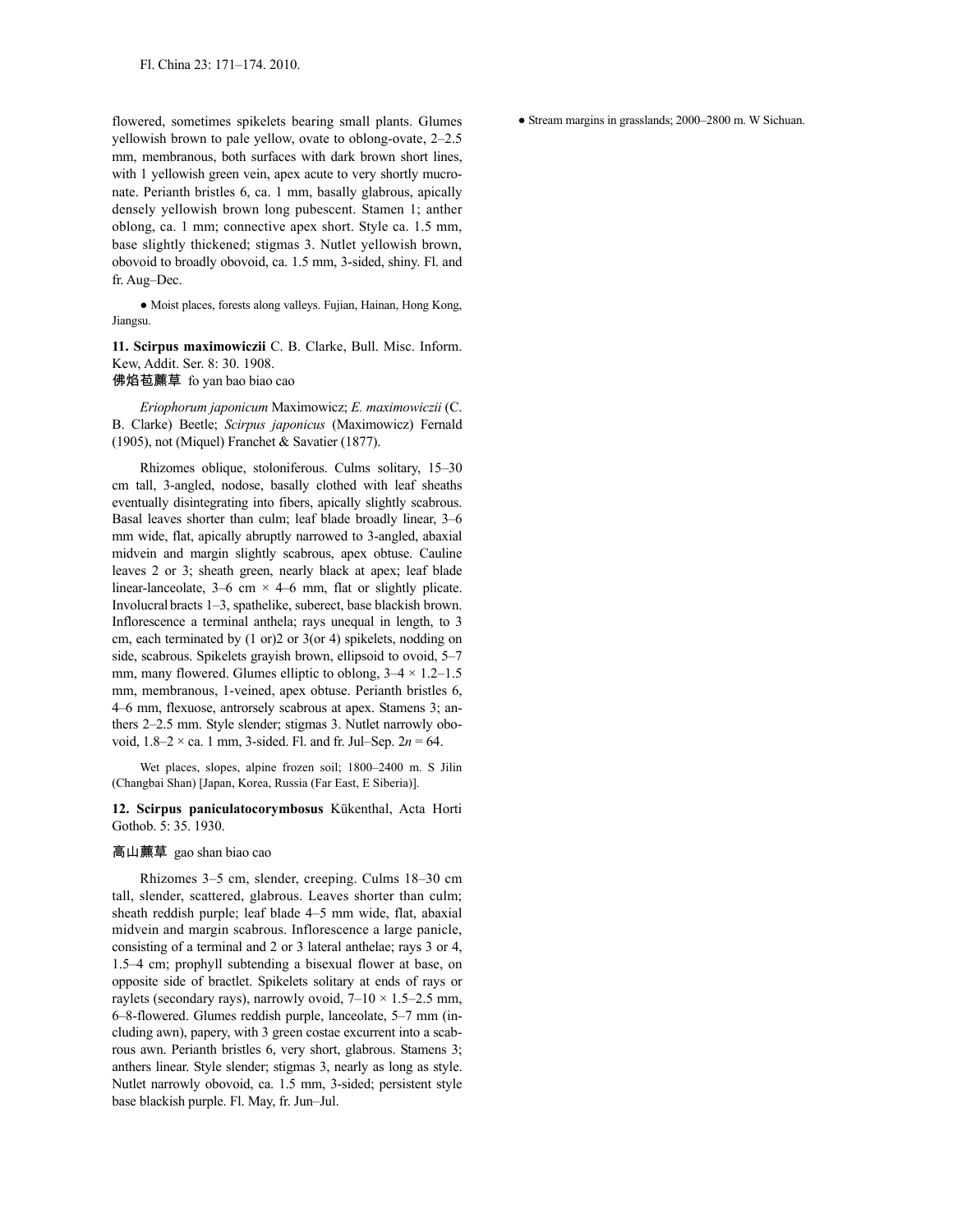flowered, sometimes spikelets bearing small plants. Glumes yellowish brown to pale yellow, ovate to oblong-ovate, 2–2.5 mm, membranous, both surfaces with dark brown short lines, with 1 yellowish green vein, apex acute to very shortly mucronate. Perianth bristles 6, ca. 1 mm, basally glabrous, apically densely yellowish brown long pubescent. Stamen 1; anther oblong, ca. 1 mm; connective apex short. Style ca. 1.5 mm, base slightly thickened; stigmas 3. Nutlet yellowish brown, obovoid to broadly obovoid, ca. 1.5 mm, 3-sided, shiny. Fl. and fr. Aug–Dec.

● Moist places, forests along valleys. Fujian, Hainan, Hong Kong, Jiangsu.

**11. Scirpus maximowiczii** C. B. Clarke, Bull. Misc. Inform. Kew, Addit. Ser. 8: 30. 1908. 佛焰苞藨草 fo yan bao biao cao

*Eriophorum japonicum* Maximowicz; *E. maximowiczii* (C. B. Clarke) Beetle; *Scirpus japonicus* (Maximowicz) Fernald (1905), not (Miquel) Franchet & Savatier (1877).

Rhizomes oblique, stoloniferous. Culms solitary, 15–30 cm tall, 3-angled, nodose, basally clothed with leaf sheaths eventually disintegrating into fibers, apically slightly scabrous. Basal leaves shorter than culm; leaf blade broadly linear, 3–6 mm wide, flat, apically abruptly narrowed to 3-angled, abaxial midvein and margin slightly scabrous, apex obtuse. Cauline leaves 2 or 3; sheath green, nearly black at apex; leaf blade linear-lanceolate,  $3-6$  cm  $\times$  4-6 mm, flat or slightly plicate. Involucral bracts 1–3, spathelike, suberect, base blackish brown. Inflorescence a terminal anthela; rays unequal in length, to 3 cm, each terminated by (1 or)2 or 3(or 4) spikelets, nodding on side, scabrous. Spikelets grayish brown, ellipsoid to ovoid, 5–7 mm, many flowered. Glumes elliptic to oblong,  $3-4 \times 1.2-1.5$ mm, membranous, 1-veined, apex obtuse. Perianth bristles 6, 4–6 mm, flexuose, antrorsely scabrous at apex. Stamens 3; anthers 2–2.5 mm. Style slender; stigmas 3. Nutlet narrowly obovoid,  $1.8-2 \times$  ca. 1 mm, 3-sided. Fl. and fr. Jul–Sep.  $2n = 64$ .

Wet places, slopes, alpine frozen soil; 1800–2400 m. S Jilin (Changbai Shan) [Japan, Korea, Russia (Far East, E Siberia)].

# **12. Scirpus paniculatocorymbosus** Kükenthal, Acta Horti Gothob. 5: 35. 1930.

# 高山藨草 gao shan biao cao

Rhizomes 3–5 cm, slender, creeping. Culms 18–30 cm tall, slender, scattered, glabrous. Leaves shorter than culm; sheath reddish purple; leaf blade 4–5 mm wide, flat, abaxial midvein and margin scabrous. Inflorescence a large panicle, consisting of a terminal and 2 or 3 lateral anthelae; rays 3 or 4, 1.5–4 cm; prophyll subtending a bisexual flower at base, on opposite side of bractlet. Spikelets solitary at ends of rays or raylets (secondary rays), narrowly ovoid,  $7-10 \times 1.5-2.5$  mm, 6–8-flowered. Glumes reddish purple, lanceolate, 5–7 mm (including awn), papery, with 3 green costae excurrent into a scabrous awn. Perianth bristles 6, very short, glabrous. Stamens 3; anthers linear. Style slender; stigmas 3, nearly as long as style. Nutlet narrowly obovoid, ca. 1.5 mm, 3-sided; persistent style base blackish purple. Fl. May, fr. Jun–Jul.

● Stream margins in grasslands; 2000–2800 m. W Sichuan.